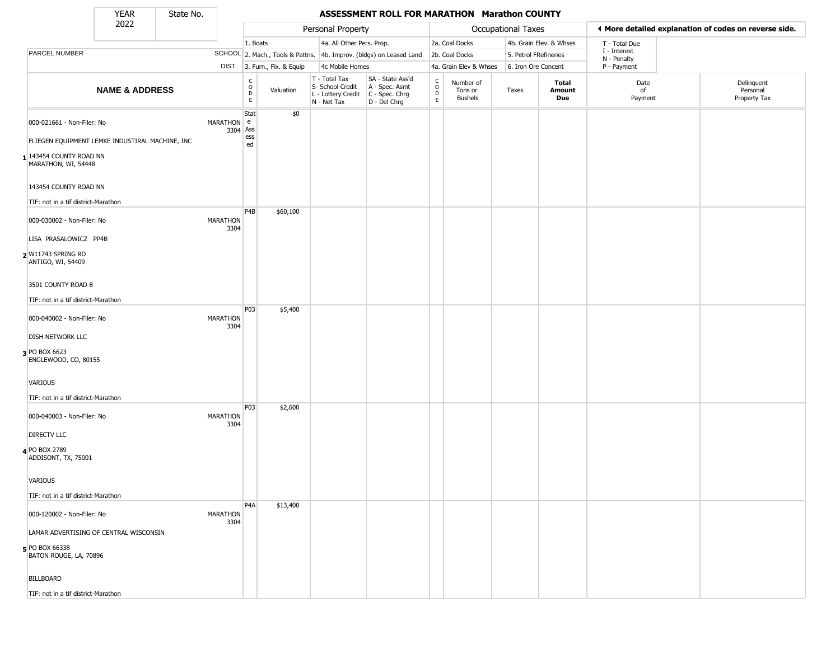State No.

г

#### YEAR **ASSESSMENT ROLL FOR MARATHON Marathon COUNTY**

|                                                                                                                                 | 2022                      |                         |                                            |                              | Personal Property                                                      |                                                                      |                                             |                                        | <b>Occupational Taxes</b> |                               | ♦ More detailed explanation of codes on reverse side. |                                        |
|---------------------------------------------------------------------------------------------------------------------------------|---------------------------|-------------------------|--------------------------------------------|------------------------------|------------------------------------------------------------------------|----------------------------------------------------------------------|---------------------------------------------|----------------------------------------|---------------------------|-------------------------------|-------------------------------------------------------|----------------------------------------|
|                                                                                                                                 |                           |                         | 1. Boats                                   |                              | 4a. All Other Pers. Prop.                                              |                                                                      |                                             | 2a. Coal Docks                         |                           | 4b. Grain Elev. & Whses       | T - Total Due                                         |                                        |
| PARCEL NUMBER                                                                                                                   |                           |                         |                                            |                              |                                                                        | SCHOOL 2. Mach., Tools & Pattns. 4b. Improv. (bldgs) on Leased Land  |                                             | 2b. Coal Docks                         | 5. Petrol FRefineries     |                               | I - Interest<br>N - Penalty                           |                                        |
|                                                                                                                                 |                           |                         |                                            | DIST. 3. Furn., Fix. & Equip | 4c Mobile Homes                                                        |                                                                      | 4a. Grain Elev & Whses                      |                                        | 6. Iron Ore Concent       |                               | P - Payment                                           |                                        |
|                                                                                                                                 | <b>NAME &amp; ADDRESS</b> |                         | C<br>$\circ$<br>$\mathsf D$<br>$\mathsf E$ | Valuation                    | T - Total Tax<br>S- School Credit<br>L - Lottery Credit<br>N - Net Tax | SA - State Ass'd<br>A - Spec. Asmt<br>C - Spec. Chrg<br>D - Del Chrg | $\frac{c}{0}$<br>$\mathsf D$<br>$\mathsf E$ | Number of<br>Tons or<br><b>Bushels</b> | Taxes                     | <b>Total</b><br>Amount<br>Due | Date<br>of<br>Payment                                 | Delinquent<br>Personal<br>Property Tax |
| 000-021661 - Non-Filer: No<br>FLIEGEN EQUIPMENT LEMKE INDUSTIRAL MACHINE, INC<br>1 143454 COUNTY ROAD NN<br>MARATHON, WI, 54448 |                           | MARATHON e<br>3304 Ass  | Stat<br>ess<br>ed                          | \$0                          |                                                                        |                                                                      |                                             |                                        |                           |                               |                                                       |                                        |
| 143454 COUNTY ROAD NN<br>TIF: not in a tif district-Marathon                                                                    |                           |                         |                                            |                              |                                                                        |                                                                      |                                             |                                        |                           |                               |                                                       |                                        |
| 000-030002 - Non-Filer: No<br>LISA PRASALOWICZ PP4B<br>2 W11743 SPRING RD<br>ANTIGO, WI, 54409                                  |                           | MARATHON<br>3304        | P4B                                        | \$60,100                     |                                                                        |                                                                      |                                             |                                        |                           |                               |                                                       |                                        |
| 3501 COUNTY ROAD B<br>TIF: not in a tif district-Marathon                                                                       |                           |                         | P03                                        | \$5,400                      |                                                                        |                                                                      |                                             |                                        |                           |                               |                                                       |                                        |
| 000-040002 - Non-Filer: No<br><b>DISH NETWORK LLC</b><br>3 PO BOX 6623                                                          |                           | <b>MARATHON</b><br>3304 |                                            |                              |                                                                        |                                                                      |                                             |                                        |                           |                               |                                                       |                                        |
| ENGLEWOOD, CO, 80155<br>VARIOUS<br>TIF: not in a tif district-Marathon                                                          |                           |                         |                                            |                              |                                                                        |                                                                      |                                             |                                        |                           |                               |                                                       |                                        |
| 000-040003 - Non-Filer: No<br><b>DIRECTV LLC</b>                                                                                |                           | MARATHON<br>3304        | P03                                        | \$2,600                      |                                                                        |                                                                      |                                             |                                        |                           |                               |                                                       |                                        |
| 4 PO BOX 2789<br>ADDISONT, TX, 75001<br>VARIOUS                                                                                 |                           |                         |                                            |                              |                                                                        |                                                                      |                                             |                                        |                           |                               |                                                       |                                        |
| TIF: not in a tif district-Marathon                                                                                             |                           |                         |                                            |                              |                                                                        |                                                                      |                                             |                                        |                           |                               |                                                       |                                        |
| 000-120002 - Non-Filer: No<br>LAMAR ADVERTISING OF CENTRAL WISCONSIN                                                            |                           | MARATHON<br>3304        | P <sub>4</sub> A                           | \$13,400                     |                                                                        |                                                                      |                                             |                                        |                           |                               |                                                       |                                        |
| 5 PO BOX 66338<br>BATON ROUGE, LA, 70896                                                                                        |                           |                         |                                            |                              |                                                                        |                                                                      |                                             |                                        |                           |                               |                                                       |                                        |
| <b>BILLBOARD</b>                                                                                                                |                           |                         |                                            |                              |                                                                        |                                                                      |                                             |                                        |                           |                               |                                                       |                                        |
| TIF: not in a tif district-Marathon                                                                                             |                           |                         |                                            |                              |                                                                        |                                                                      |                                             |                                        |                           |                               |                                                       |                                        |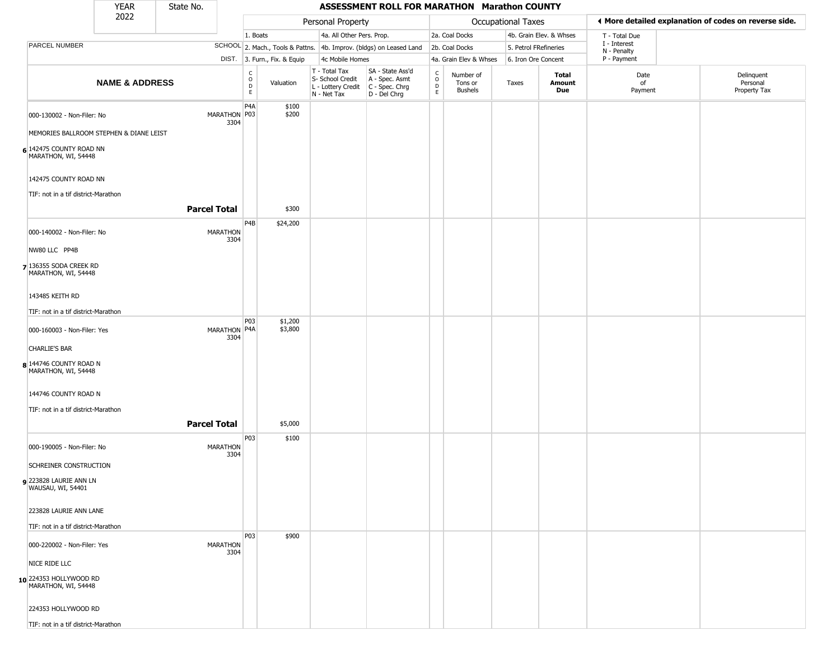|                                                                                           | <b>YEAR</b>               | State No.           |                         | ASSESSMENT ROLL FOR MARATHON Marathon COUNTY |                              |                                                                        |                                                                      |                                   |                                        |                       |                         |                             |                                                       |
|-------------------------------------------------------------------------------------------|---------------------------|---------------------|-------------------------|----------------------------------------------|------------------------------|------------------------------------------------------------------------|----------------------------------------------------------------------|-----------------------------------|----------------------------------------|-----------------------|-------------------------|-----------------------------|-------------------------------------------------------|
|                                                                                           | 2022                      |                     |                         | Personal Property                            |                              |                                                                        |                                                                      |                                   |                                        | Occupational Taxes    |                         |                             | 4 More detailed explanation of codes on reverse side. |
|                                                                                           |                           |                     |                         | 1. Boats                                     |                              | 4a. All Other Pers. Prop.                                              |                                                                      | 2a. Coal Docks                    |                                        |                       | 4b. Grain Elev. & Whses | T - Total Due               |                                                       |
| PARCEL NUMBER                                                                             |                           |                     |                         |                                              |                              | SCHOOL 2. Mach., Tools & Pattns. 4b. Improv. (bldgs) on Leased Land    |                                                                      | 2b. Coal Docks                    |                                        | 5. Petrol FRefineries |                         | I - Interest<br>N - Penalty |                                                       |
|                                                                                           |                           |                     |                         |                                              | DIST. 3. Furn., Fix. & Equip | 4c Mobile Homes                                                        |                                                                      |                                   | 4a. Grain Elev & Whses                 | 6. Iron Ore Concent   |                         | P - Payment                 |                                                       |
|                                                                                           | <b>NAME &amp; ADDRESS</b> |                     |                         | $\mathsf{C}$<br>$\circ$<br>D<br>E            | Valuation                    | T - Total Tax<br>S- School Credit<br>L - Lottery Credit<br>N - Net Tax | SA - State Ass'd<br>A - Spec. Asmt<br>C - Spec. Chrg<br>D - Del Chrg | $\mathsf{C}$<br>$\circ$<br>D<br>E | Number of<br>Tons or<br><b>Bushels</b> | Taxes                 | Total<br>Amount<br>Due  | Date<br>of<br>Payment       | Delinquent<br>Personal<br>Property Tax                |
| 000-130002 - Non-Filer: No                                                                |                           |                     | MARATHON P03<br>3304    | P4A                                          | \$100<br>\$200               |                                                                        |                                                                      |                                   |                                        |                       |                         |                             |                                                       |
| MEMORIES BALLROOM STEPHEN & DIANE LEIST<br>6 142475 COUNTY ROAD NN<br>MARATHON, WI, 54448 |                           |                     |                         |                                              |                              |                                                                        |                                                                      |                                   |                                        |                       |                         |                             |                                                       |
| 142475 COUNTY ROAD NN<br>TIF: not in a tif district-Marathon                              |                           |                     |                         |                                              |                              |                                                                        |                                                                      |                                   |                                        |                       |                         |                             |                                                       |
|                                                                                           |                           | <b>Parcel Total</b> |                         |                                              | \$300                        |                                                                        |                                                                      |                                   |                                        |                       |                         |                             |                                                       |
| 000-140002 - Non-Filer: No<br>NW80 LLC PP4B                                               |                           |                     | <b>MARATHON</b><br>3304 | P <sub>4</sub> B                             | \$24,200                     |                                                                        |                                                                      |                                   |                                        |                       |                         |                             |                                                       |
| 7 136355 SODA CREEK RD<br>MARATHON, WI, 54448                                             |                           |                     |                         |                                              |                              |                                                                        |                                                                      |                                   |                                        |                       |                         |                             |                                                       |
| 143485 KEITH RD                                                                           |                           |                     |                         |                                              |                              |                                                                        |                                                                      |                                   |                                        |                       |                         |                             |                                                       |
| TIF: not in a tif district-Marathon<br>000-160003 - Non-Filer: Yes                        |                           |                     | MARATHON P4A<br>3304    | P03                                          | \$1,200<br>\$3,800           |                                                                        |                                                                      |                                   |                                        |                       |                         |                             |                                                       |
| <b>CHARLIE'S BAR</b>                                                                      |                           |                     |                         |                                              |                              |                                                                        |                                                                      |                                   |                                        |                       |                         |                             |                                                       |
| 8 144746 COUNTY ROAD N<br>MARATHON, WI, 54448                                             |                           |                     |                         |                                              |                              |                                                                        |                                                                      |                                   |                                        |                       |                         |                             |                                                       |
| 144746 COUNTY ROAD N                                                                      |                           |                     |                         |                                              |                              |                                                                        |                                                                      |                                   |                                        |                       |                         |                             |                                                       |
| TIF: not in a tif district-Marathon                                                       |                           | <b>Parcel Total</b> |                         |                                              | \$5,000                      |                                                                        |                                                                      |                                   |                                        |                       |                         |                             |                                                       |
| 000-190005 - Non-Filer: No                                                                |                           |                     | <b>MARATHON</b><br>3304 | P03                                          | \$100                        |                                                                        |                                                                      |                                   |                                        |                       |                         |                             |                                                       |
| SCHREINER CONSTRUCTION<br>9 223828 LAURIE ANN LN<br>WAUSAU, WI, 54401                     |                           |                     |                         |                                              |                              |                                                                        |                                                                      |                                   |                                        |                       |                         |                             |                                                       |
| 223828 LAURIE ANN LANE                                                                    |                           |                     |                         |                                              |                              |                                                                        |                                                                      |                                   |                                        |                       |                         |                             |                                                       |
| TIF: not in a tif district-Marathon<br>000-220002 - Non-Filer: Yes                        |                           |                     | <b>MARATHON</b><br>3304 | P03                                          | \$900                        |                                                                        |                                                                      |                                   |                                        |                       |                         |                             |                                                       |
| NICE RIDE LLC<br>10 224353 HOLLYWOOD RD                                                   |                           |                     |                         |                                              |                              |                                                                        |                                                                      |                                   |                                        |                       |                         |                             |                                                       |
| MARATHON, WI, 54448<br>224353 HOLLYWOOD RD                                                |                           |                     |                         |                                              |                              |                                                                        |                                                                      |                                   |                                        |                       |                         |                             |                                                       |
| TIF: not in a tif district-Marathon                                                       |                           |                     |                         |                                              |                              |                                                                        |                                                                      |                                   |                                        |                       |                         |                             |                                                       |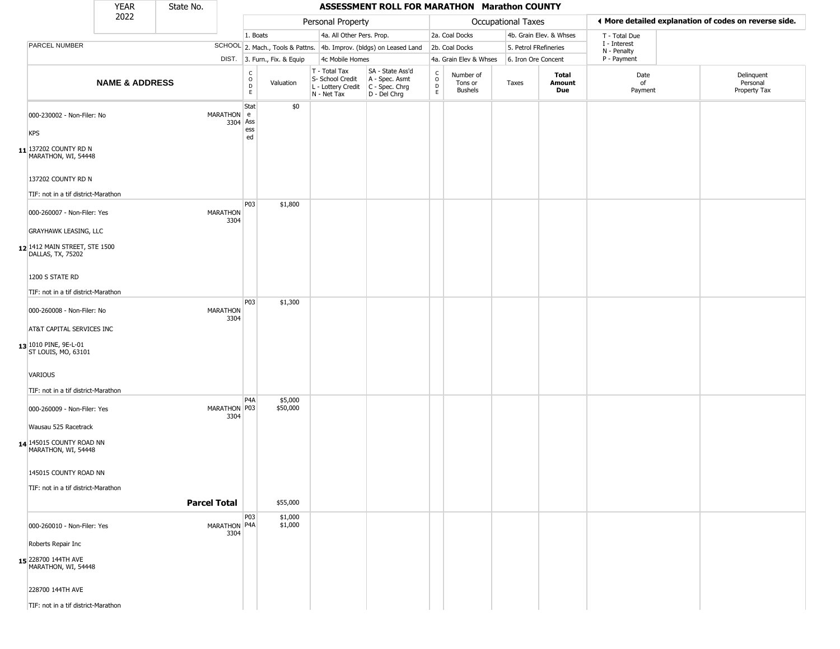|                                                           | <b>YEAR</b>               | State No.               |                                                 |                              |                                                                        | ASSESSMENT ROLL FOR MARATHON Marathon COUNTY                           |                                                                    |                                 |                       |                         |                             |                                                       |  |
|-----------------------------------------------------------|---------------------------|-------------------------|-------------------------------------------------|------------------------------|------------------------------------------------------------------------|------------------------------------------------------------------------|--------------------------------------------------------------------|---------------------------------|-----------------------|-------------------------|-----------------------------|-------------------------------------------------------|--|
|                                                           | 2022                      |                         |                                                 |                              | Personal Property                                                      |                                                                        |                                                                    |                                 | Occupational Taxes    |                         |                             | I More detailed explanation of codes on reverse side. |  |
|                                                           |                           |                         | 1. Boats                                        |                              | 4a. All Other Pers. Prop.                                              |                                                                        |                                                                    | 2a. Coal Docks                  |                       | 4b. Grain Elev. & Whses | T - Total Due               |                                                       |  |
| PARCEL NUMBER                                             |                           |                         |                                                 |                              |                                                                        | SCHOOL 2. Mach., Tools & Pattns. 4b. Improv. (bldgs) on Leased Land    |                                                                    | 2b. Coal Docks                  | 5. Petrol FRefineries |                         | I - Interest<br>N - Penalty |                                                       |  |
|                                                           |                           |                         |                                                 | DIST. 3. Furn., Fix. & Equip | 4c Mobile Homes                                                        |                                                                        |                                                                    | 4a. Grain Elev & Whses          | 6. Iron Ore Concent   |                         | P - Payment                 |                                                       |  |
|                                                           | <b>NAME &amp; ADDRESS</b> |                         | $\begin{array}{c} C \\ O \\ D \\ E \end{array}$ | Valuation                    | T - Total Tax<br>S- School Credit<br>L - Lottery Credit<br>N - Net Tax | SA - State Ass'd<br>$A - Spec.$ Asmt<br>C - Spec. Chrg<br>D - Del Chrg | $\begin{smallmatrix} C \\ O \\ D \end{smallmatrix}$<br>$\mathsf E$ | Number of<br>Tons or<br>Bushels | Taxes                 | Total<br>Amount<br>Due  | Date<br>of<br>Payment       | Delinquent<br>Personal<br>Property Tax                |  |
| 000-230002 - Non-Filer: No                                |                           | MARATHON<br>3304        | Stat<br>l e<br>Ass                              | \$0                          |                                                                        |                                                                        |                                                                    |                                 |                       |                         |                             |                                                       |  |
| <b>KPS</b>                                                |                           |                         | ess<br>ed                                       |                              |                                                                        |                                                                        |                                                                    |                                 |                       |                         |                             |                                                       |  |
| $11$ <sup>137202</sup> COUNTY RD N<br>MARATHON, WI, 54448 |                           |                         |                                                 |                              |                                                                        |                                                                        |                                                                    |                                 |                       |                         |                             |                                                       |  |
| 137202 COUNTY RD N                                        |                           |                         |                                                 |                              |                                                                        |                                                                        |                                                                    |                                 |                       |                         |                             |                                                       |  |
| TIF: not in a tif district-Marathon                       |                           |                         |                                                 |                              |                                                                        |                                                                        |                                                                    |                                 |                       |                         |                             |                                                       |  |
| 000-260007 - Non-Filer: Yes                               |                           | <b>MARATHON</b><br>3304 | P03                                             | \$1,800                      |                                                                        |                                                                        |                                                                    |                                 |                       |                         |                             |                                                       |  |
| <b>GRAYHAWK LEASING, LLC</b>                              |                           |                         |                                                 |                              |                                                                        |                                                                        |                                                                    |                                 |                       |                         |                             |                                                       |  |
| 12 1412 MAIN STREET, STE 1500<br>DALLAS, TX, 75202        |                           |                         |                                                 |                              |                                                                        |                                                                        |                                                                    |                                 |                       |                         |                             |                                                       |  |
| 1200 S STATE RD                                           |                           |                         |                                                 |                              |                                                                        |                                                                        |                                                                    |                                 |                       |                         |                             |                                                       |  |
| TIF: not in a tif district-Marathon                       |                           |                         |                                                 |                              |                                                                        |                                                                        |                                                                    |                                 |                       |                         |                             |                                                       |  |
| 000-260008 - Non-Filer: No                                |                           | <b>MARATHON</b><br>3304 | <b>P03</b>                                      | \$1,300                      |                                                                        |                                                                        |                                                                    |                                 |                       |                         |                             |                                                       |  |
| AT&T CAPITAL SERVICES INC                                 |                           |                         |                                                 |                              |                                                                        |                                                                        |                                                                    |                                 |                       |                         |                             |                                                       |  |
| 13 1010 PINE, 9E-L-01<br>ST LOUIS, MO, 63101              |                           |                         |                                                 |                              |                                                                        |                                                                        |                                                                    |                                 |                       |                         |                             |                                                       |  |
| <b>VARIOUS</b>                                            |                           |                         |                                                 |                              |                                                                        |                                                                        |                                                                    |                                 |                       |                         |                             |                                                       |  |
| TIF: not in a tif district-Marathon                       |                           |                         |                                                 |                              |                                                                        |                                                                        |                                                                    |                                 |                       |                         |                             |                                                       |  |
| 000-260009 - Non-Filer: Yes                               |                           | MARATHON P03<br>3304    | P <sub>4</sub> A                                | \$5,000<br>\$50,000          |                                                                        |                                                                        |                                                                    |                                 |                       |                         |                             |                                                       |  |
| Wausau 525 Racetrack                                      |                           |                         |                                                 |                              |                                                                        |                                                                        |                                                                    |                                 |                       |                         |                             |                                                       |  |
| 14 145015 COUNTY ROAD NN<br>MARATHON, WI, 54448           |                           |                         |                                                 |                              |                                                                        |                                                                        |                                                                    |                                 |                       |                         |                             |                                                       |  |
| 145015 COUNTY ROAD NN                                     |                           |                         |                                                 |                              |                                                                        |                                                                        |                                                                    |                                 |                       |                         |                             |                                                       |  |
| TIF: not in a tif district-Marathon                       |                           |                         |                                                 |                              |                                                                        |                                                                        |                                                                    |                                 |                       |                         |                             |                                                       |  |
|                                                           |                           | <b>Parcel Total</b>     |                                                 | \$55,000                     |                                                                        |                                                                        |                                                                    |                                 |                       |                         |                             |                                                       |  |
| 000-260010 - Non-Filer: Yes                               |                           | MARATHON P4A<br>3304    | P03                                             | \$1,000<br>\$1,000           |                                                                        |                                                                        |                                                                    |                                 |                       |                         |                             |                                                       |  |
| Roberts Repair Inc                                        |                           |                         |                                                 |                              |                                                                        |                                                                        |                                                                    |                                 |                       |                         |                             |                                                       |  |
| 15 228700 144TH AVE<br>MARATHON, WI, 54448                |                           |                         |                                                 |                              |                                                                        |                                                                        |                                                                    |                                 |                       |                         |                             |                                                       |  |
| 228700 144TH AVE                                          |                           |                         |                                                 |                              |                                                                        |                                                                        |                                                                    |                                 |                       |                         |                             |                                                       |  |
| TIF: not in a tif district-Marathon                       |                           |                         |                                                 |                              |                                                                        |                                                                        |                                                                    |                                 |                       |                         |                             |                                                       |  |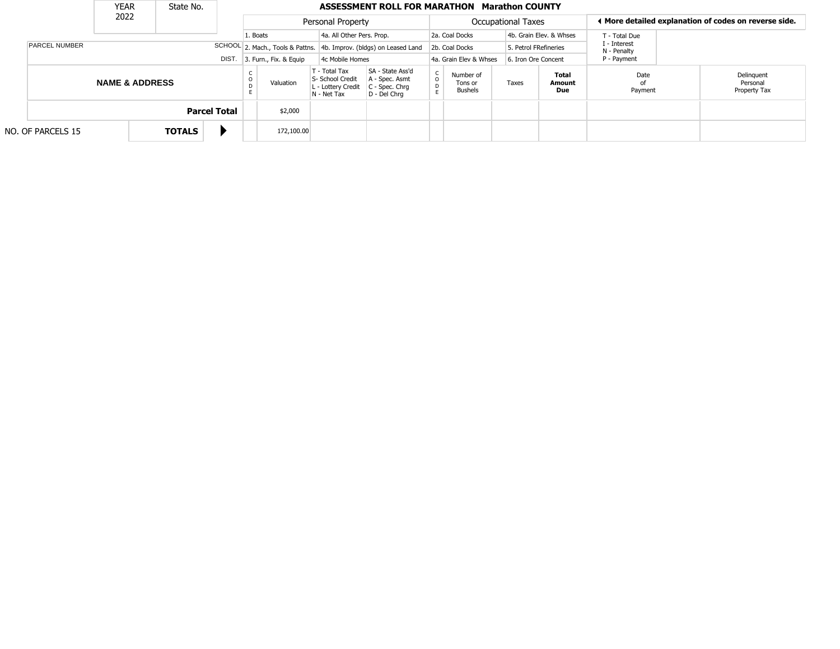|  | <b>YEAR</b><br>State No.      |                           |  |               |                                           |  | ASSESSMENT ROLL FOR MARATHON<br><b>Marathon COUNTY</b>              |                                                                      |                                                                          |                      |                                                       |                             |                         |                       |  |                                        |
|--|-------------------------------|---------------------------|--|---------------|-------------------------------------------|--|---------------------------------------------------------------------|----------------------------------------------------------------------|--------------------------------------------------------------------------|----------------------|-------------------------------------------------------|-----------------------------|-------------------------|-----------------------|--|----------------------------------------|
|  |                               | 2022                      |  |               | Personal Property                         |  |                                                                     | Occupational Taxes                                                   |                                                                          |                      | ♦ More detailed explanation of codes on reverse side. |                             |                         |                       |  |                                        |
|  |                               |                           |  |               |                                           |  | 1. Boats                                                            | 4a. All Other Pers. Prop.                                            |                                                                          |                      | 2a. Coal Docks                                        |                             | 4b. Grain Elev. & Whses | T - Total Due         |  |                                        |
|  | <b>PARCEL NUMBER</b><br>DIST. |                           |  |               |                                           |  | SCHOOL 2. Mach., Tools & Pattns. 4b. Improv. (bldgs) on Leased Land |                                                                      | 2b. Coal Docks                                                           |                      | 5. Petrol FRefineries                                 | I - Interest<br>N - Penalty |                         |                       |  |                                        |
|  |                               |                           |  |               | 3. Furn., Fix. & Equip<br>4c Mobile Homes |  |                                                                     | 4a. Grain Elev & Whses                                               | 6. Iron Ore Concent                                                      |                      | P - Payment                                           |                             |                         |                       |  |                                        |
|  |                               | <b>NAME &amp; ADDRESS</b> |  |               |                                           |  | Valuation                                                           | T - Total Tax<br>S- School Credit<br>- Lottery Credit<br>N - Net Tax | SA - State Ass'd<br>A - Spec. Asmt<br>$C - Spec. Chrq$<br>$D - Del Chrq$ | $\rm _o^C$<br>D<br>E | Number of<br>Tons or<br><b>Bushels</b>                | Taxes                       | Total<br>Amount<br>Due  | Date<br>of<br>Payment |  | Delinguent<br>Personal<br>Property Tax |
|  |                               |                           |  |               | <b>Parcel Total</b>                       |  | \$2,000                                                             |                                                                      |                                                                          |                      |                                                       |                             |                         |                       |  |                                        |
|  | NO. OF PARCELS 15             |                           |  | <b>TOTALS</b> |                                           |  | 172,100.00                                                          |                                                                      |                                                                          |                      |                                                       |                             |                         |                       |  |                                        |